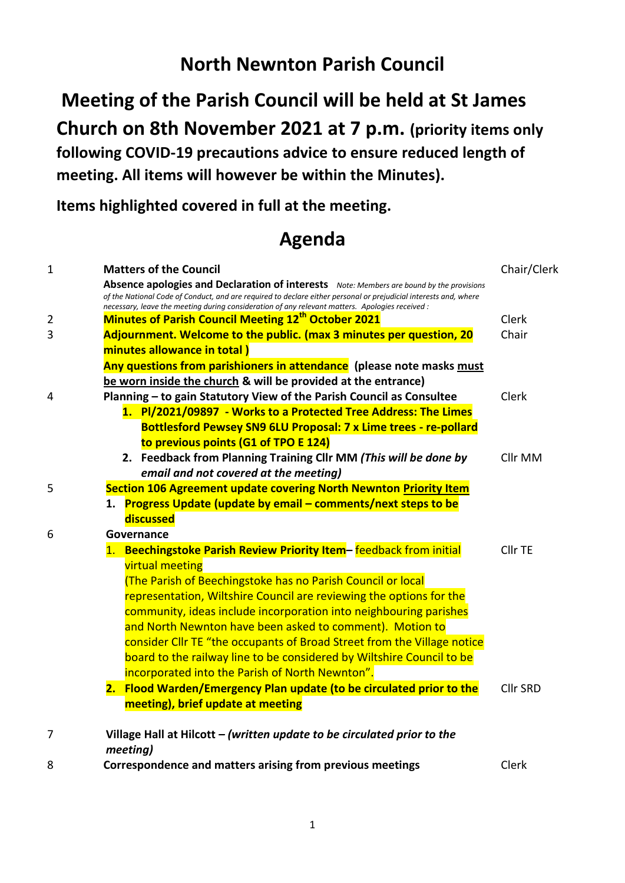## **North Newnton Parish Council**

**Meeting of the Parish Council will be held at St James Church on 8th November 2021 at 7 p.m. (priority items only following COVID-19 precautions advice to ensure reduced length of meeting. All items will however be within the Minutes).** 

**Items highlighted covered in full at the meeting.**

## **Agenda**

| $\mathbf{1}$ | <b>Matters of the Council</b>                                                                                                                                                                                                                                                                                   | Chair/Clerk     |
|--------------|-----------------------------------------------------------------------------------------------------------------------------------------------------------------------------------------------------------------------------------------------------------------------------------------------------------------|-----------------|
|              | Absence apologies and Declaration of interests Note: Members are bound by the provisions<br>of the National Code of Conduct, and are required to declare either personal or prejudicial interests and, where<br>necessary, leave the meeting during consideration of any relevant matters. Apologies received : |                 |
| 2            | <b>Minutes of Parish Council Meeting 12th October 2021</b>                                                                                                                                                                                                                                                      | <b>Clerk</b>    |
| 3            | Adjournment. Welcome to the public. (max 3 minutes per question, 20                                                                                                                                                                                                                                             | Chair           |
|              | minutes allowance in total)                                                                                                                                                                                                                                                                                     |                 |
|              | Any questions from parishioners in attendance (please note masks must                                                                                                                                                                                                                                           |                 |
|              | be worn inside the church & will be provided at the entrance)                                                                                                                                                                                                                                                   |                 |
| 4            | Planning - to gain Statutory View of the Parish Council as Consultee                                                                                                                                                                                                                                            | Clerk           |
|              | 1. PI/2021/09897 - Works to a Protected Tree Address: The Limes                                                                                                                                                                                                                                                 |                 |
|              | <b>Bottlesford Pewsey SN9 6LU Proposal: 7 x Lime trees - re-pollard</b>                                                                                                                                                                                                                                         |                 |
|              | to previous points (G1 of TPO E 124)                                                                                                                                                                                                                                                                            |                 |
|              | 2. Feedback from Planning Training Cllr MM (This will be done by<br>email and not covered at the meeting)                                                                                                                                                                                                       | Cllr MM         |
| 5            | Section 106 Agreement update covering North Newnton Priority Item                                                                                                                                                                                                                                               |                 |
|              | 1. Progress Update (update by email - comments/next steps to be                                                                                                                                                                                                                                                 |                 |
|              | discussed                                                                                                                                                                                                                                                                                                       |                 |
| 6            | Governance                                                                                                                                                                                                                                                                                                      |                 |
|              | 1. Beechingstoke Parish Review Priority Item- feedback from initial                                                                                                                                                                                                                                             | Cllr TE         |
|              | <b>virtual meeting</b>                                                                                                                                                                                                                                                                                          |                 |
|              | (The Parish of Beechingstoke has no Parish Council or local                                                                                                                                                                                                                                                     |                 |
|              | representation, Wiltshire Council are reviewing the options for the                                                                                                                                                                                                                                             |                 |
|              | community, ideas include incorporation into neighbouring parishes                                                                                                                                                                                                                                               |                 |
|              | and North Newnton have been asked to comment). Motion to                                                                                                                                                                                                                                                        |                 |
|              | consider Cllr TE "the occupants of Broad Street from the Village notice                                                                                                                                                                                                                                         |                 |
|              | board to the railway line to be considered by Wiltshire Council to be                                                                                                                                                                                                                                           |                 |
|              | incorporated into the Parish of North Newnton".                                                                                                                                                                                                                                                                 |                 |
|              | 2. Flood Warden/Emergency Plan update (to be circulated prior to the                                                                                                                                                                                                                                            | <b>Cllr SRD</b> |
|              | meeting), brief update at meeting                                                                                                                                                                                                                                                                               |                 |
| 7            | Village Hall at Hilcott - (written update to be circulated prior to the                                                                                                                                                                                                                                         |                 |
| 8            | meeting)<br>Correspondence and matters arising from previous meetings                                                                                                                                                                                                                                           | Clerk           |
|              |                                                                                                                                                                                                                                                                                                                 |                 |